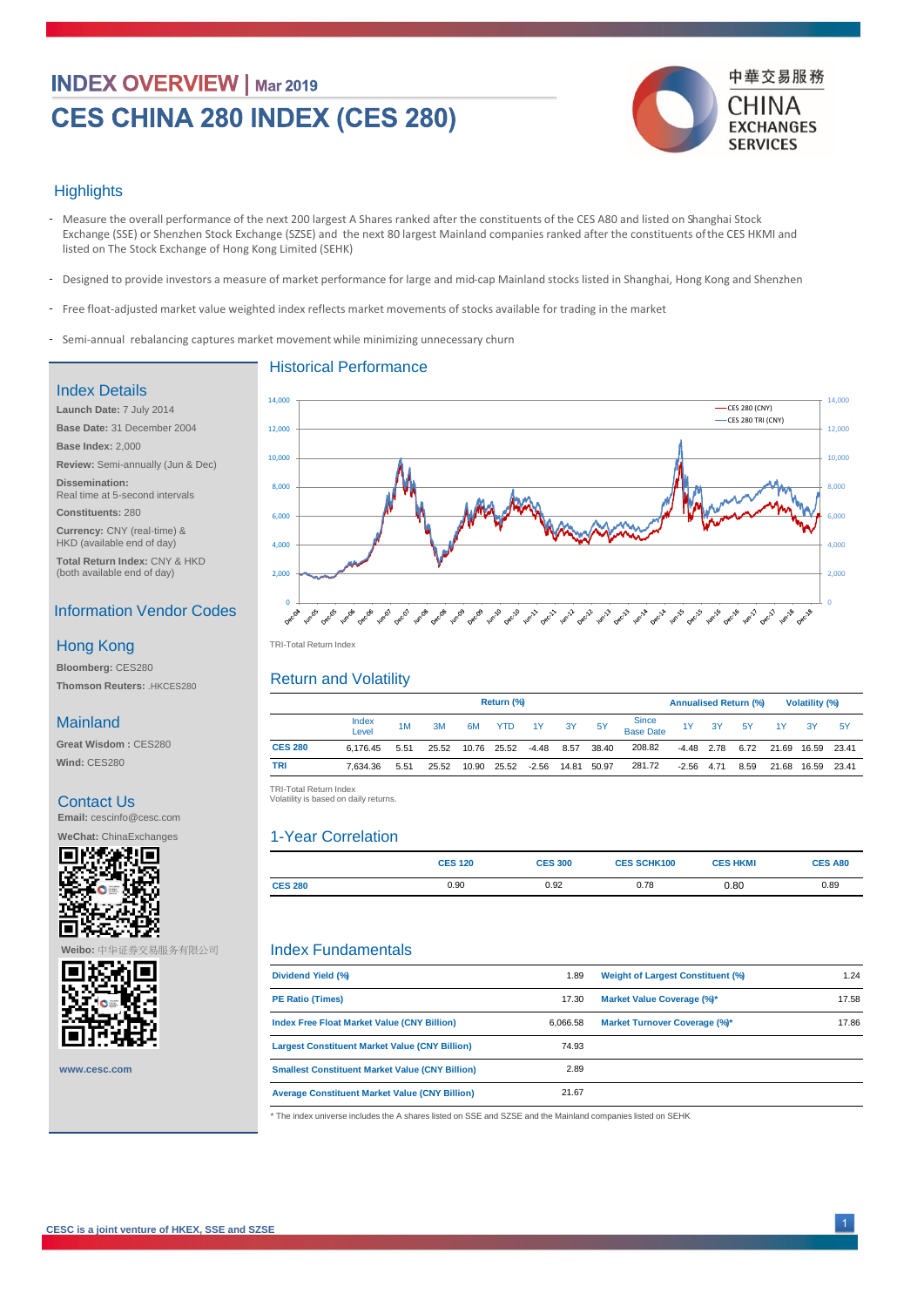# **INDEX OVERVIEW | Mar 2019** CES CHINA 280 INDEX (CES 280)



#### **Highlights**

- Measure the overall performance of the next 200 largest A Shares ranked after the constituents of the CES A80 and listed on Shanghai Stock Exchange (SSE) or Shenzhen Stock Exchange (SZSE) and the next 80 largest Mainland companies ranked after the constituents ofthe CES HKMI and listed on The Stock Exchange of Hong Kong Limited (SEHK)
- Designed to provide investors a measure of market performance for large and mid-cap Mainland stocks listed in Shanghai, Hong Kong and Shenzhen -
- Free float-adjusted market value weighted index reflects market movements of stocks available for trading in the market
- Semi-annual rebalancing captures market movement while minimizing unnecessary churn -

#### Historical Performance

#### Index Details

**Launch Date:** 7 July 2014 **Base Date:** 31 December 2004 **Base Index:** 2,000 **Review:** Semi-annually (Jun & Dec) **Dissemination:**  Real time at 5-second intervals **Constituents:** 280 **Currency:** CNY (real-time) &

HKD (available end of day) **Total Return Index:** CNY & HKD (both available end of day)

### Information Vendor Codes

#### Hong Kong

**Bloomberg:** CES280 **Thomson Reuters:** .HKCES280

#### Mainland

**Great Wisdom :** CES280 **Wind:** CES280

#### Contact Us

**Email:** cescinfo@cesc.com



**Weibo:** 中华证券交易服务有限公司



**www.cesc.com**



TRI -Total Return Index TRI-Total Return Index

#### Return and Volatility

|                | Return (%)     |      |       |                              |             |    |                   |       |                    | <b>Annualised Return (%)</b> |    |      | <b>Volatility (%)</b> |                   |           |
|----------------|----------------|------|-------|------------------------------|-------------|----|-------------------|-------|--------------------|------------------------------|----|------|-----------------------|-------------------|-----------|
|                | Index<br>Level | 1M   | 3M    | 6M                           | <b>YTD</b>  | 1Y | 3Y                | 5Y    | Since<br>Base Date | 1Y                           | 3Y | 5Y   | 1Y -                  | - 3Y              | <b>5Y</b> |
| <b>CES 280</b> | 6.176.45       | 5.51 |       | 25.52 10.76 25.52 -4.48 8.57 |             |    |                   | 38.40 | 208.82             | -4.48 2.78                   |    | 6.72 |                       | 21.69 16.59 23.41 |           |
| TRI            | 7.634.36       | 5.51 | 25.52 |                              | 10.90 25.52 |    | -2.56 14.81 50.97 |       | 281.72             | $-2.56$ 4.71                 |    | 8.59 |                       | 21.68 16.59 23.41 |           |
|                |                |      |       |                              |             |    |                   |       |                    |                              |    |      |                       |                   |           |

TRI-Total Return Index<br>Volatility is based on daily returns.

#### 1-Year Correlation

|                | <b>CES 120</b> | <b>CES 300</b> | <b>CES SCHK100</b> | <b>CES HKMI</b> | <b>CES A80</b> |
|----------------|----------------|----------------|--------------------|-----------------|----------------|
| <b>CES 280</b> | 0.90           | 0.92           | 0.78               | 0.80            | 0.89           |

#### Index Fundamentals

| Dividend Yield (%)                                     | 1.89     | <b>Weight of Largest Constituent (%)</b> | 1.24  |
|--------------------------------------------------------|----------|------------------------------------------|-------|
| <b>PE Ratio (Times)</b>                                | 17.30    | Market Value Coverage (%)*               | 17.58 |
| <b>Index Free Float Market Value (CNY Billion)</b>     | 6.066.58 | Market Turnover Coverage (%)*            | 17.86 |
| <b>Largest Constituent Market Value (CNY Billion)</b>  | 74.93    |                                          |       |
| <b>Smallest Constituent Market Value (CNY Billion)</b> | 2.89     |                                          |       |
| <b>Average Constituent Market Value (CNY Billion)</b>  | 21.67    |                                          |       |

\* The index universe includes the A shares listed on SSE and SZSE and the Mainland companies listed on SEHK